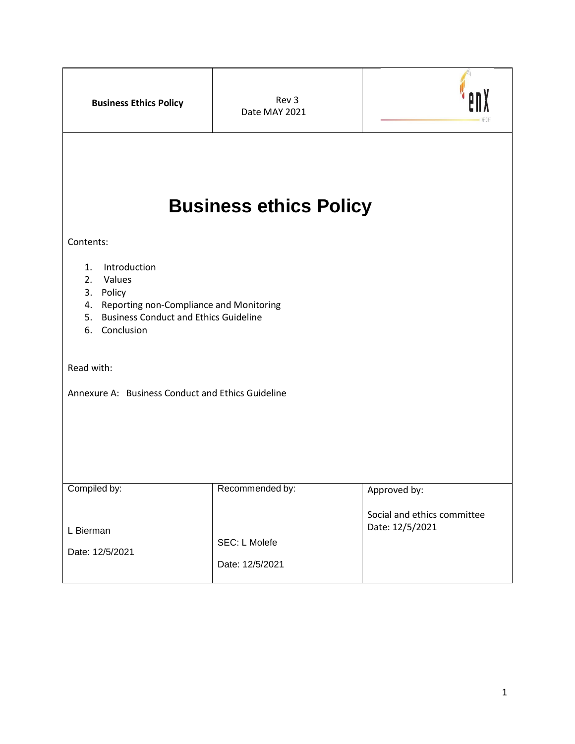| <b>Business Ethics Policy</b>                                                                                                                           | Rev 3<br>Date MAY 2021           |                                             |
|---------------------------------------------------------------------------------------------------------------------------------------------------------|----------------------------------|---------------------------------------------|
| <b>Business ethics Policy</b><br>Contents:                                                                                                              |                                  |                                             |
| 1. Introduction<br>2. Values<br>3. Policy<br>Reporting non-Compliance and Monitoring<br>4.<br>5. Business Conduct and Ethics Guideline<br>6. Conclusion |                                  |                                             |
| Read with:<br>Annexure A: Business Conduct and Ethics Guideline                                                                                         |                                  |                                             |
| Compiled by:                                                                                                                                            | Recommended by:                  | Approved by:<br>Social and ethics committee |
| L Bierman<br>Date: 12/5/2021                                                                                                                            | SEC: L Molefe<br>Date: 12/5/2021 | Date: 12/5/2021                             |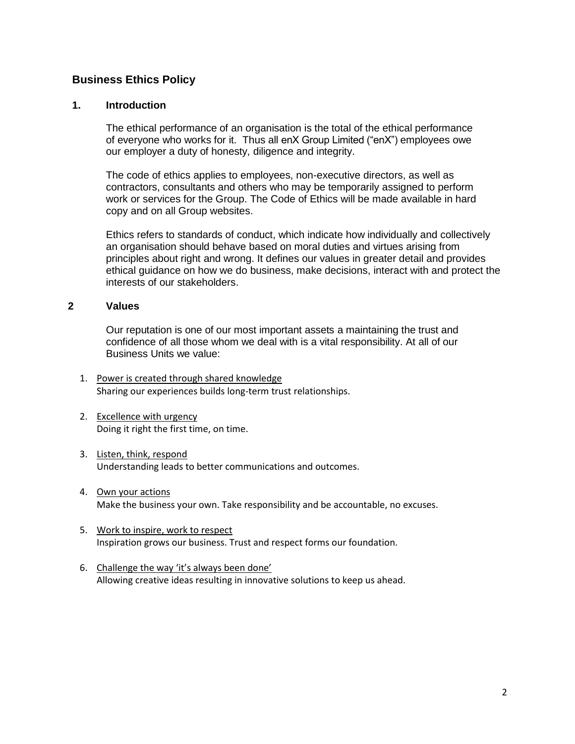# **Business Ethics Policy**

#### **1. Introduction**

The ethical performance of an organisation is the total of the ethical performance of everyone who works for it. Thus all enX Group Limited ("enX") employees owe our employer a duty of honesty, diligence and integrity.

The code of ethics applies to employees, non-executive directors, as well as contractors, consultants and others who may be temporarily assigned to perform work or services for the Group. The Code of Ethics will be made available in hard copy and on all Group websites.

Ethics refers to standards of conduct, which indicate how individually and collectively an organisation should behave based on moral duties and virtues arising from principles about right and wrong. It defines our values in greater detail and provides ethical guidance on how we do business, make decisions, interact with and protect the interests of our stakeholders.

#### **2 Values**

Our reputation is one of our most important assets a maintaining the trust and confidence of all those whom we deal with is a vital responsibility. At all of our Business Units we value:

- 1. Power is created through shared knowledge Sharing our experiences builds long-term trust relationships.
- 2. Excellence with urgency Doing it right the first time, on time.
- 3. Listen, think, respond Understanding leads to better communications and outcomes.
- 4. Own your actions Make the business your own. Take responsibility and be accountable, no excuses.
- 5. Work to inspire, work to respect Inspiration grows our business. Trust and respect forms our foundation.
- 6. Challenge the way 'it's always been done' Allowing creative ideas resulting in innovative solutions to keep us ahead.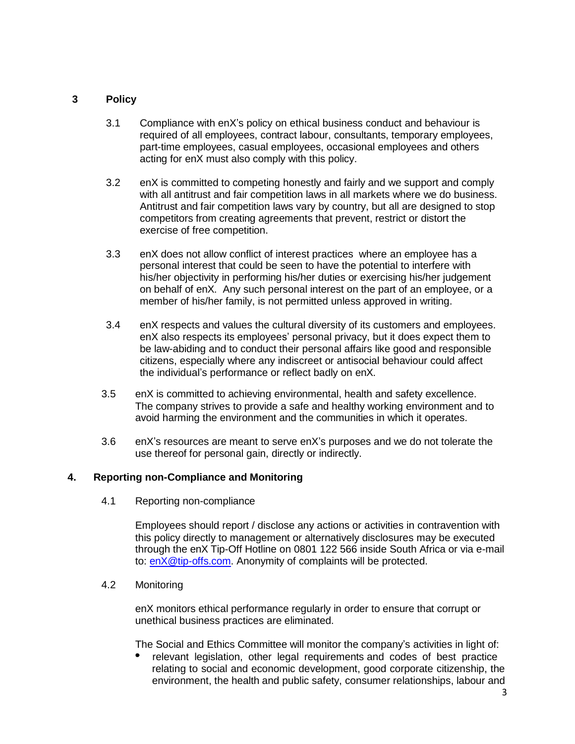## **3 Policy**

- 3.1 Compliance with enX's policy on ethical business conduct and behaviour is required of all employees, contract labour, consultants, temporary employees, part-time employees, casual employees, occasional employees and others acting for enX must also comply with this policy.
- 3.2 enX is committed to competing honestly and fairly and we support and comply with all antitrust and fair competition laws in all markets where we do business. Antitrust and fair competition laws vary by country, but all are designed to stop competitors from creating agreements that prevent, restrict or distort the exercise of free competition.
- 3.3 enX does not allow conflict of interest practices where an employee has a personal interest that could be seen to have the potential to interfere with his/her objectivity in performing his/her duties or exercising his/her judgement on behalf of enX. Any such personal interest on the part of an employee, or a member of his/her family, is not permitted unless approved in writing.
- 3.4 enX respects and values the cultural diversity of its customers and employees. enX also respects its employees' personal privacy, but it does expect them to be law-abiding and to conduct their personal affairs like good and responsible citizens, especially where any indiscreet or antisocial behaviour could affect the individual's performance or reflect badly on enX.
- 3.5 enX is committed to achieving environmental, health and safety excellence. The company strives to provide a safe and healthy working environment and to avoid harming the environment and the communities in which it operates.
- 3.6 enX's resources are meant to serve enX's purposes and we do not tolerate the use thereof for personal gain, directly or indirectly.

## **4. Reporting non-Compliance and Monitoring**

4.1 Reporting non-compliance

Employees should report / disclose any actions or activities in contravention with this policy directly to management or alternatively disclosures may be executed through the enX Tip-Off Hotline on 0801 122 566 inside South Africa or via e-mail to: [enX@tip-offs.com.](mailto:eqstra@tip-offs.com) Anonymity of complaints will be protected.

#### 4.2 Monitoring

enX monitors ethical performance regularly in order to ensure that corrupt or unethical business practices are eliminated.

The Social and Ethics Committee will monitor the company's activities in light of:

 relevant legislation, other legal requirements and codes of best practice relating to social and economic development, good corporate citizenship, the environment, the health and public safety, consumer relationships, labour and